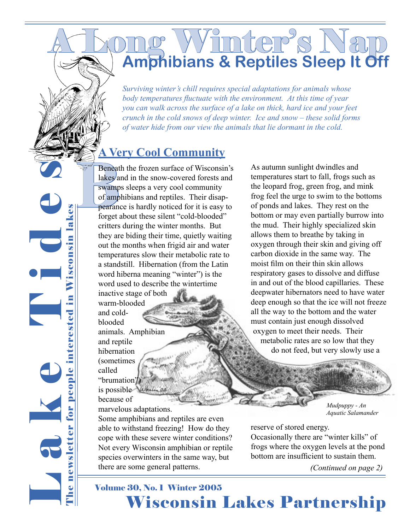# A Long Winter's Nap **Amphibians & Reptiles Sleep It Off**

*Surviving winter's chill requires special adaptations for animals whose body temperatures fluctuate with the environment. At this time of year you can walk across the surface of a lake on thick, hard ice and your feet crunch in the cold snows of deep winter. Ice and snow – these solid forms of water hide from our view the animals that lie dormant in the cold.* 

## **A Very Cool Community**

Beneat<br>
lakes a<br>
swamp<br>
of amp<br>
pearand<br>
forget a Beneath the frozen surface of Wisconsin's lakes and in the snow-covered forests and swamps sleeps a very cool community of amphibians and reptiles. Their disappearance is hardly noticed for it is easy to forget about these silent "cold-blooded" critters during the winter months. But they are biding their time, quietly waiting out the months when frigid air and water temperatures slow their metabolic rate to a standstill. Hibernation (from the Latin word hiberna meaning "winter") is the word used to describe the wintertime inactive stage of both

> warm-blooded and coldblooded animals. Amphibian and reptile hibernation (sometimes called "brumation") is possible because of marvelous adaptations.

Some amphibians and reptiles are even able to withstand freezing! How do they cope with these severe winter conditions? Not every Wisconsin amphibian or reptile species overwinters in the same way, but there are some general patterns.

As autumn sunlight dwindles and temperatures start to fall, frogs such as the leopard frog, green frog, and mink frog feel the urge to swim to the bottoms of ponds and lakes. They rest on the bottom or may even partially burrow into the mud. Their highly specialized skin allows them to breathe by taking in oxygen through their skin and giving off carbon dioxide in the same way. The moist film on their thin skin allows respiratory gases to dissolve and diffuse in and out of the blood capillaries. These deepwater hibernators need to have water deep enough so that the ice will not freeze all the way to the bottom and the water must contain just enough dissolved oxygen to meet their needs. Their metabolic rates are so low that they do not feed, but very slowly use a

> *Mudpuppy - An Aquatic Salamander*

reserve of stored energy. Occasionally there are "winter kills" of frogs where the oxygen levels at the pond bottom are insufficient to sustain them.

*(Continued on page 2)*

## **Wisconsin Lakes Partnership** Volume 30, No. 1 Winter 2005

L a k e T i d e s Wisconsin lakes The newsletter for people interested in Wisconsin lakes newsletter for people interested in O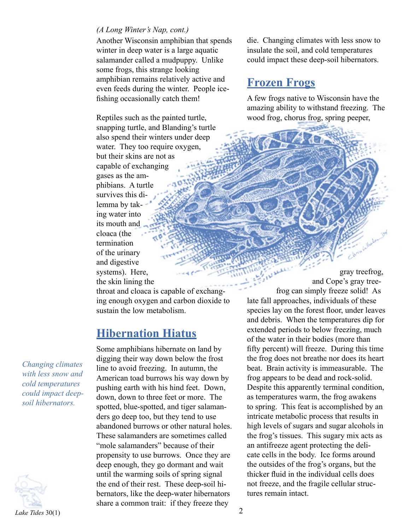#### *(A Long Winter's Nap, cont.)*

Another Wisconsin amphibian that spends winter in deep water is a large aquatic salamander called a mudpuppy. Unlike some frogs, this strange looking amphibian remains relatively active and even feeds during the winter. People icefishing occasionally catch them!

Reptiles such as the painted turtle, snapping turtle, and Blanding's turtle also spend their winters under deep water. They too require oxygen, but their skins are not as capable of exchanging gases as the amphibians. A turtle survives this dilemma by taking water into its mouth and cloaca (the termination of the urinary and digestive systems). Here, the skin lining the

throat and cloaca is capable of exchanging enough oxygen and carbon dioxide to sustain the low metabolism.

#### **Hibernation Hiatus**

Some amphibians hibernate on land by digging their way down below the frost line to avoid freezing. In autumn, the American toad burrows his way down by pushing earth with his hind feet. Down, down, down to three feet or more. The spotted, blue-spotted, and tiger salamanders go deep too, but they tend to use abandoned burrows or other natural holes. These salamanders are sometimes called "mole salamanders" because of their propensity to use burrows. Once they are deep enough, they go dormant and wait until the warming soils of spring signal the end of their rest. These deep-soil hibernators, like the deep-water hibernators share a common trait: if they freeze they

die. Changing climates with less snow to insulate the soil, and cold temperatures could impact these deep-soil hibernators.

#### **Frozen Frogs**

A few frogs native to Wisconsin have the amazing ability to withstand freezing. The wood frog, chorus frog, spring peeper,

Cuthola

gray treefrog, and Cope's gray treefrog can simply freeze solid! As late fall approaches, individuals of these species lay on the forest floor, under leaves and debris. When the temperatures dip for extended periods to below freezing, much of the water in their bodies (more than fifty percent) will freeze. During this time the frog does not breathe nor does its heart beat. Brain activity is immeasurable. The frog appears to be dead and rock-solid. Despite this apparently terminal condition, as temperatures warm, the frog awakens to spring. This feat is accomplished by an intricate metabolic process that results in high levels of sugars and sugar alcohols in the frog's tissues. This sugary mix acts as an antifreeze agent protecting the delicate cells in the body. Ice forms around the outsides of the frog's organs, but the thicker fluid in the individual cells does not freeze, and the fragile cellular structures remain intact.

*Changing climates with less snow and cold temperatures could impact deepsoil hibernators.*

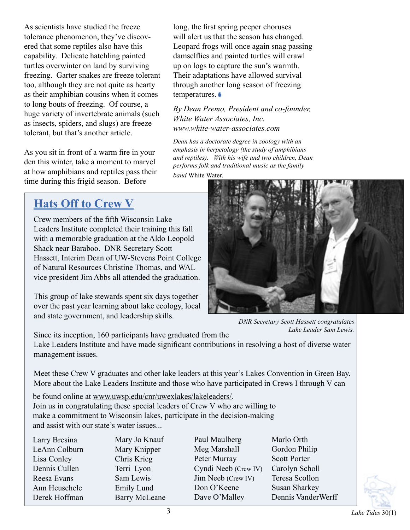As scientists have studied the freeze tolerance phenomenon, they've discovered that some reptiles also have this capability. Delicate hatchling painted turtles overwinter on land by surviving freezing. Garter snakes are freeze tolerant too, although they are not quite as hearty as their amphibian cousins when it comes to long bouts of freezing. Of course, a huge variety of invertebrate animals (such as insects, spiders, and slugs) are freeze tolerant, but that's another article.

As you sit in front of a warm fire in your den this winter, take a moment to marvel at how amphibians and reptiles pass their time during this frigid season. Before

## **Hats Off to Crew V**

Crew members of the fifth Wisconsin Lake Leaders Institute completed their training this fall with a memorable graduation at the Aldo Leopold Shack near Baraboo. DNR Secretary Scott Hassett, Interim Dean of UW-Stevens Point College of Natural Resources Christine Thomas, and WAL vice president Jim Abbs all attended the graduation.

This group of lake stewards spent six days together over the past year learning about lake ecology, local and state government, and leadership skills.

*DNR Secretary Scott Hassett congratulates Lake Leader Sam Lewis.*

Since its inception, 160 participants have graduated from the

Lake Leaders Institute and have made significant contributions in resolving a host of diverse water management issues.

Meet these Crew V graduates and other lake leaders at this year's Lakes Convention in Green Bay. More about the Lake Leaders Institute and those who have participated in Crews I through V can

be found online at www.uwsp.edu/cnr/uwexlakes/lakeleaders/. Join us in congratulating these special leaders of Crew V who are willing to make a commitment to Wisconsin lakes, participate in the decision-making and assist with our state's water issues...

Larry Bresina LeAnn Colburn Lisa Conley Dennis Cullen Reesa Evans Ann Heuschele Derek Hoffman

Mary Jo Knauf Mary Knipper Chris Krieg Terri Lyon Sam Lewis Emily Lund Barry McLeane Paul Maulberg Meg Marshall Peter Murray Cyndi Neeb (Crew IV) Jim Neeb (Crew IV) Don O'Keene Dave O'Malley

long, the first spring peeper choruses will alert us that the season has changed. Leopard frogs will once again snag passing damselflies and painted turtles will crawl up on logs to capture the sun's warmth. Their adaptations have allowed survival through another long season of freezing

*By Dean Premo, President and co-founder,* 

*Dean has a doctorate degree in zoology with an emphasis in herpetology (the study of amphibians and reptiles). With his wife and two children, Dean performs folk and traditional music as the family* 

*White Water Associates, Inc. www.white-water-associates.com*

temperatures.

*band* White Water*.*

Marlo Orth Gordon Philip Scott Porter Carolyn Scholl Teresa Scollon Susan Sharkey Dennis VanderWerff

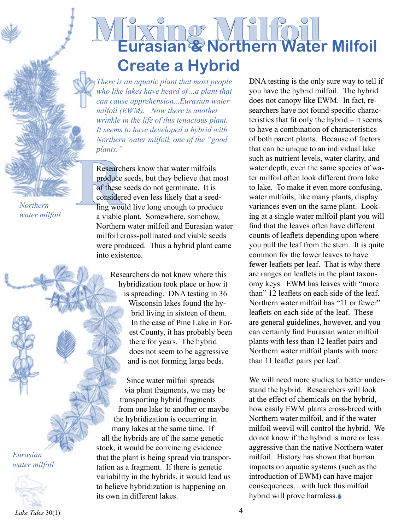Mixing Milfoil **Eurasian & Northern Water Milfoil Create a Hybrid**

*There is an aquatic plant that most people who like lakes have heard of…a plant that can cause apprehension...Eurasian water milfoil (EWM). Now there is another wrinkle in the life of this tenacious plant. It seems to have developed a hybrid with Northern water milfoil, one of the "good plants."* 

Research<br>
Produce<br>
of these<br>
consider<br>
Ting wou<br>
a viable Researchers know that water milfoils produce seeds, but they believe that most of these seeds do not germinate. It is considered even less likely that a seedling would live long enough to produce a viable plant. Somewhere, somehow, Northern water milfoil and Eurasian water milfoil cross-pollinated and viable seeds were produced. Thus a hybrid plant came into existence.

> Researchers do not know where this hybridization took place or how it is spreading. DNA testing in 36 Wisconsin lakes found the hybrid living in sixteen of them. In the case of Pine Lake in Forest County, it has probably been there for years. The hybrid does not seem to be aggressive and is not forming large beds.

Since water milfoil spreads via plant fragments, we may be transporting hybrid fragments from one lake to another or maybe the hybridization is occurring in many lakes at the same time. If all the hybrids are of the same genetic stock, it would be convincing evidence that the plant is being spread via transportation as a fragment. If there is genetic variability in the hybrids, it would lead us to believe hybridization is happening on its own in different lakes.

DNA testing is the only sure way to tell if you have the hybrid milfoil. The hybrid does not canopy like EWM. In fact, researchers have not found specific characteristics that fit only the hybrid – it seems to have a combination of characteristics of both parent plants. Because of factors that can be unique to an individual lake such as nutrient levels, water clarity, and water depth, even the same species of water milfoil often look different from lake to lake. To make it even more confusing, water milfoils, like many plants, display variances even on the same plant. Looking at a single water milfoil plant you will find that the leaves often have different counts of leaflets depending upon where you pull the leaf from the stem. It is quite common for the lower leaves to have fewer leaflets per leaf. That is why there are ranges on leaflets in the plant taxonomy keys. EWM has leaves with "more than" 12 leaflets on each side of the leaf. Northern water milfoil has "11 or fewer" leaflets on each side of the leaf. These are general guidelines, however, and you can certainly find Eurasian water milfoil plants with less than 12 leaflet pairs and Northern water milfoil plants with more than 11 leaflet pairs per leaf.

We will need more studies to better understand the hybrid. Researchers will look at the effect of chemicals on the hybrid, how easily EWM plants cross-breed with Northern water milfoil, and if the water milfoil weevil will control the hybrid. We do not know if the hybrid is more or less aggressive than the native Northern water milfoil. History has shown that human impacts on aquatic systems (such as the introduction of EWM) can have major consequences…with luck this milfoil hybrid will prove harmless.

*Northern water milfoil*

*Eurasian water milfoil*

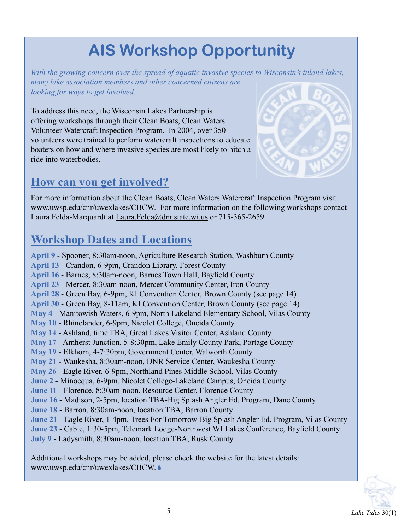# **AIS Workshop Opportunity**

*With the growing concern over the spread of aquatic invasive species to Wisconsin's inland lakes, many lake association members and other concerned citizens are looking for ways to get involved.* 

To address this need, the Wisconsin Lakes Partnership is offering workshops through their Clean Boats, Clean Waters Volunteer Watercraft Inspection Program. In 2004, over 350 volunteers were trained to perform watercraft inspections to educate boaters on how and where invasive species are most likely to hitch a ride into waterbodies.

## **How can you get involved?**



For more information about the Clean Boats, Clean Waters Watercraft Inspection Program visit www.uwsp.edu/cnr/uwexlakes/CBCW. For more information on the following workshops contact Laura Felda-Marquardt at Laura.Felda@dnr.state.wi.us or 715-365-2659.

## **Workshop Dates and Locations**

**April 9** - Spooner, 8:30am-noon, Agriculture Research Station, Washburn County **April 13** - Crandon, 6-9pm, Crandon Library, Forest County **April 16** - Barnes, 8:30am-noon, Barnes Town Hall, Bayfield County **April 23** - Mercer, 8:30am-noon, Mercer Community Center, Iron County **April 28** - Green Bay, 6-9pm, KI Convention Center, Brown County (see page 14) **April 30** - Green Bay, 8-11am, KI Convention Center, Brown County (see page 14) **May 4** - Manitowish Waters, 6-9pm, North Lakeland Elementary School, Vilas County **May 10** - Rhinelander, 6-9pm, Nicolet College, Oneida County **May 14** - Ashland, time TBA, Great Lakes Visitor Center, Ashland County **May 17** - Amherst Junction, 5-8:30pm, Lake Emily County Park, Portage County **May 19** - Elkhorn, 4-7:30pm, Government Center, Walworth County **May 21** - Waukesha, 8:30am-noon, DNR Service Center, Waukesha County **May 26** - Eagle River, 6-9pm, Northland Pines Middle School, Vilas County **June 2** - Minocqua, 6-9pm, Nicolet College-Lakeland Campus, Oneida County **June 11** - Florence, 8:30am-noon, Resource Center, Florence County **June 16** - Madison, 2-5pm, location TBA-Big Splash Angler Ed. Program, Dane County **June 18** - Barron, 8:30am-noon, location TBA, Barron County **June 21** - Eagle River, 1-4pm, Trees For Tomorrow-Big Splash Angler Ed. Program, Vilas County **June 23** - Cable, 1:30-5pm, Telemark Lodge-Northwest WI Lakes Conference, Bayfield County **July 9** - Ladysmith, 8:30am-noon, location TBA, Rusk County

Additional workshops may be added, please check the website for the latest details: www.uwsp.edu/cnr/uwexlakes/CBCW.

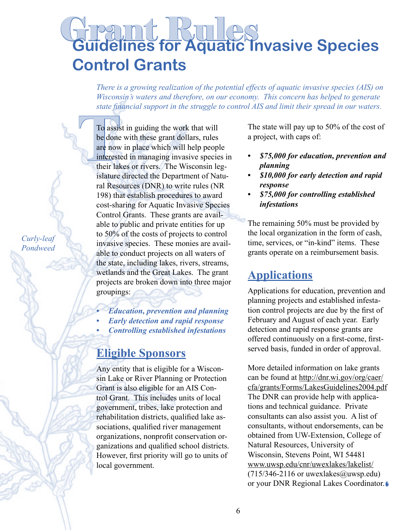# **Guidelines for Aquatic Invasive Species Control Grants**

*There is a growing realization of the potential effects of aquatic invasive species (AIS) on Wisconsin's waters and therefore, on our economy. This concern has helped to generate state financial support in the struggle to control AIS and limit their spread in our waters.*

To assis<br>
be done<br>
are now<br>
interests<br>
their lak<br>
islature To assist in guiding the work that will be done with these grant dollars, rules are now in place which will help people interested in managing invasive species in their lakes or rivers. The Wisconsin legislature directed the Department of Natural Resources (DNR) to write rules (NR 198) that establish procedures to award cost-sharing for Aquatic Invasive Species Control Grants. These grants are available to public and private entities for up to 50% of the costs of projects to control invasive species. These monies are available to conduct projects on all waters of the state, including lakes, rivers, streams, wetlands and the Great Lakes. The grant projects are broken down into three major groupings:

- *Education, prevention and planning •*
- *Early detection and rapid response •*
- *Controlling established infestations •*

#### **Eligible Sponsors**

Any entity that is eligible for a Wisconsin Lake or River Planning or Protection Grant is also eligible for an AIS Control Grant. This includes units of local government, tribes, lake protection and rehabilitation districts, qualified lake associations, qualified river management organizations, nonprofit conservation organizations and qualified school districts. However, first priority will go to units of local government.

The state will pay up to 50% of the cost of a project, with caps of:

- *\$75,000 for education, prevention and planning •*
- *\$10,000 for early detection and rapid response •*
- *\$75,000 for controlling established infestations •*

The remaining 50% must be provided by the local organization in the form of cash, time, services, or "in-kind" items. These grants operate on a reimbursement basis.

## **Applications**

Applications for education, prevention and planning projects and established infestation control projects are due by the first of February and August of each year. Early detection and rapid response grants are offered continuously on a first-come, firstserved basis, funded in order of approval.

More detailed information on lake grants can be found at http://dnr.wi.gov/org/caer/ cfa/grants/Forms/LakesGuidelines2004.pdf The DNR can provide help with applications and technical guidance. Private consultants can also assist you. A list of consultants, without endorsements, can be obtained from UW-Extension, College of Natural Resources, University of Wisconsin, Stevens Point, WI 54481 www.uwsp.edu/cnr/uwexlakes/lakelist/  $(715/346-2116$  or uwexlakes@uwsp.edu) or your DNR Regional Lakes Coordinator.

*Curly-leaf Pondweed*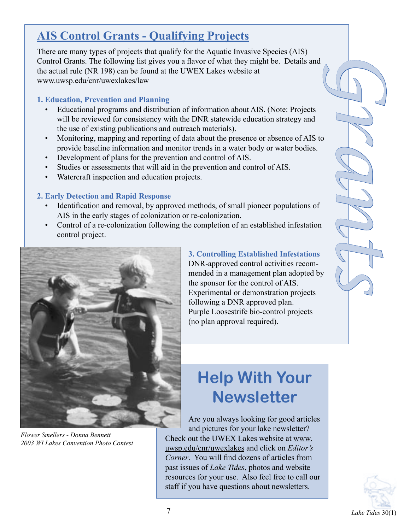## **AIS Control Grants - Qualifying Projects**

There are many types of projects that qualify for the Aquatic Invasive Species (AIS) Control Grants. The following list gives you a flavor of what they might be. Details and the actual rule (NR 198) can be found at the UWEX Lakes website at www.uwsp.edu/cnr/uwexlakes/law

#### **1. Education, Prevention and Planning**

- Educational programs and distribution of information about AIS. (Note: Projects will be reviewed for consistency with the DNR statewide education strategy and the use of existing publications and outreach materials). •
- *Grants* Monitoring, mapping and reporting of data about the presence or absence of AIS to provide baseline information and monitor trends in a water body or water bodies. •
- Development of plans for the prevention and control of AIS.
- Studies or assessments that will aid in the prevention and control of AIS. •
- Watercraft inspection and education projects. •

#### **2. Early Detection and Rapid Response**

- Identification and removal, by approved methods, of small pioneer populations of AIS in the early stages of colonization or re-colonization.
- Control of a re-colonization following the completion of an established infestation control project. •



*Flower Smellers - Donna Bennett 2003 WI Lakes Convention Photo Contest*

#### **3. Controlling Established Infestations**

DNR-approved control activities recommended in a management plan adopted by the sponsor for the control of AIS. Experimental or demonstration projects following a DNR approved plan. Purple Loosestrife bio-control projects (no plan approval required).

# **Help With Your Newsletter**

Are you always looking for good articles and pictures for your lake newsletter? Check out the UWEX Lakes website at www. uwsp.edu/cnr/uwexlakes and click on *Editor's Corner*. You will find dozens of articles from past issues of *Lake Tides*, photos and website resources for your use. Also feel free to call our staff if you have questions about newsletters.

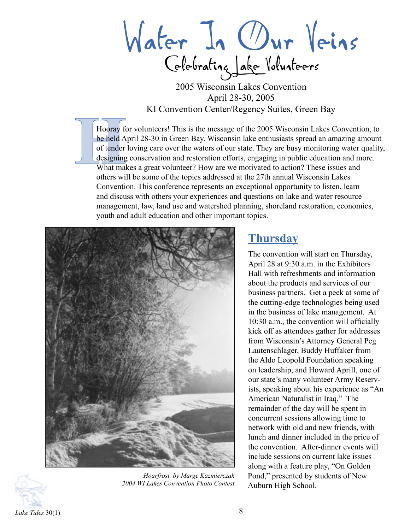Water In Our Veins Celebrating Lake Volunteers

2005 Wisconsin Lakes Convention April 28-30, 2005 KI Convention Center/Regency Suites, Green Bay

Hooray for **Hooray**<br> **Hooray** for **be held** A<br>
of **tender**<br> **designing**<br>
What may Hooray for volunteers! This is the message of the 2005 Wisconsin Lakes Convention, to be held April 28-30 in Green Bay. Wisconsin lake enthusiasts spread an amazing amount of tender loving care over the waters of our state. They are busy monitoring water quality, designing conservation and restoration efforts, engaging in public education and more. What makes a great volunteer? How are we motivated to action? These issues and others will be some of the topics addressed at the 27th annual Wisconsin Lakes Convention. This conference represents an exceptional opportunity to listen, learn and discuss with others your experiences and questions on lake and water resource management, law, land use and watershed planning, shoreland restoration, economics, youth and adult education and other important topics.





*Hoarfrost, by Marge Kazmierczak 2004 WI Lakes Convention Photo Contest*

### **Thursday**

The convention will start on Thursday, April 28 at 9:30 a.m. in the Exhibitors Hall with refreshments and information about the products and services of our business partners. Get a peek at some of the cutting-edge technologies being used in the business of lake management. At 10:30 a.m., the convention will officially kick off as attendees gather for addresses from Wisconsin's Attorney General Peg Lautenschlager, Buddy Huffaker from the Aldo Leopold Foundation speaking on leadership, and Howard Aprill, one of our state's many volunteer Army Reservists, speaking about his experience as "An American Naturalist in Iraq." The remainder of the day will be spent in concurrent sessions allowing time to network with old and new friends, with lunch and dinner included in the price of the convention. After-dinner events will include sessions on current lake issues along with a feature play, "On Golden Pond," presented by students of New Auburn High School.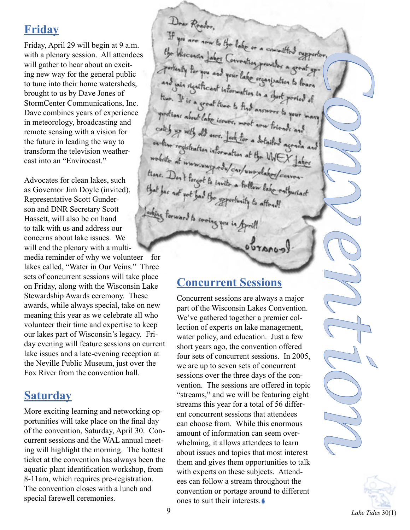## **Friday**

Friday, April 29 will begin at 9 a.m. with a plenary session. All attendees will gather to hear about an exciting new way for the general public to tune into their home watersheds, brought to us by Dave Jones of StormCenter Communications, Inc. Dave combines years of experience in meteorology, broadcasting and remote sensing with a vision for the future in leading the way to transform the television weathercast into an "Envirocast."

Advocates for clean lakes, such as Governor Jim Doyle (invited), Representative Scott Gunderson and DNR Secretary Scott Hassett, will also be on hand to talk with us and address our concerns about lake issues. We will end the plenary with a multi-

media reminder of why we volunteer for lakes called, "Water in Our Veins." Three sets of concurrent sessions will take place on Friday, along with the Wisconsin Lake Stewardship Awards ceremony. These awards, while always special, take on new meaning this year as we celebrate all who volunteer their time and expertise to keep our lakes part of Wisconsin's legacy. Friday evening will feature sessions on current lake issues and a late-evening reception at the Neville Public Museum, just over the Fox River from the convention hall.

## **Saturday**

More exciting learning and networking opportunities will take place on the final day of the convention, Saturday, April 30. Concurrent sessions and the WAL annual meeting will highlight the morning. The hottest ticket at the convention has always been the aquatic plant identification workshop, from 8-11am, which requires pre-registration. The convention closes with a lunch and special farewell ceremonies.

Doar Roader, If you are now to the lake or a committed supporter the Wisconsin Jakes Correnties provider a 3 portunity for you and your lake organization to learn and sain significant information in a sport ported of time. It is a great time to find answers to your many protions about lake issues, most now friends and cates up with old ones. Jose for a detailed agenda and on the registration information at the WEX Jakes mobile at mm.ung.com/car/unoxlabor/convert tions. Don't forgot to invite a follow lakes/conven-<br>that has not yot had the opportunity to the enthusiast that has not yout had the apportunity to attend! orbing forward to socing you in April

#### **Concurrent Sessions**

brancol

Concurrent sessions are always a major part of the Wisconsin Lakes Convention. We've gathered together a premier collection of experts on lake management, water policy, and education. Just a few short years ago, the convention offered four sets of concurrent sessions. In 2005, we are up to seven sets of concurrent sessions over the three days of the convention. The sessions are offered in topic "streams," and we will be featuring eight streams this year for a total of 56 different concurrent sessions that attendees can choose from. While this enormous amount of information can seem overwhelming, it allows attendees to learn about issues and topics that most interest them and gives them opportunities to talk with experts on these subjects. Attendees can follow a stream throughout the convention or portage around to different ones to suit their interests.



*Convention*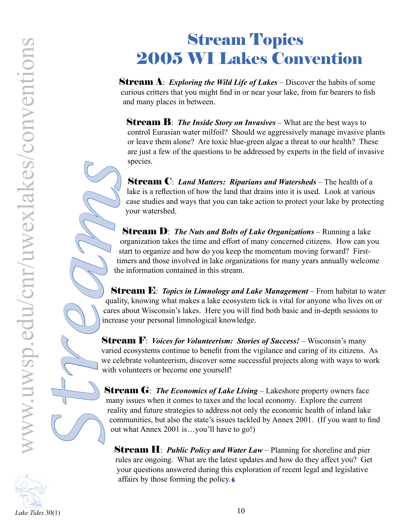**Stream A:** *Exploring the Wild Life of Lakes* – Discover the habits of some curious critters that you might find in or near your lake, from fur bearers to fish and many places in between.

**Stream B**: *The Inside Story on Invasives* – What are the best ways to control Eurasian water milfoil? Should we aggressively manage invasive plants or leave them alone? Are toxic blue-green algae a threat to our health? These are just a few of the questions to be addressed by experts in the field of invasive species.

Stream C: *Land Matters: Riparians and Watersheds* – The health of a lake is a reflection of how the land that drains into it is used. Look at various case studies and ways that you can take action to protect your lake by protecting your watershed.

Stream D: *The Nuts and Bolts of Lake Organizations* – Running a lake organization takes the time and effort of many concerned citizens. How can you start to organize and how do you keep the momentum moving forward? Firsttimers and those involved in lake organizations for many years annually welcome the information contained in this stream.

Stream E: *Topics in Limnology and Lake Management* – From habitat to water quality, knowing what makes a lake ecosystem tick is vital for anyone who lives on or cares about Wisconsin's lakes. Here you will find both basic and in-depth sessions to increase your personal limnological knowledge. *ams*

> **Stream F:** *Voices for Volunteerism: Stories of Success!* – Wisconsin's many varied ecosystems continue to benefit from the vigilance and caring of its citizens. As we celebrate volunteerism, discover some successful projects along with ways to work with volunteers or become one yourself!

**Stream G**: *The Economics of Lake Living* – Lakeshore property owners face many issues when it comes to taxes and the local economy. Explore the current reality and future strategies to address not only the economic health of inland lake communities, but also the state's issues tackled by Annex 2001. (If you want to find out what Annex 2001 is…you'll have to go!) *S*

**Stream H**: *Public Policy and Water Law* – Planning for shoreline and pier rules are ongoing. What are the latest updates and how do they affect you? Get your questions answered during this exploration of recent legal and legislative affairs by those forming the policy.



*tr*

*e*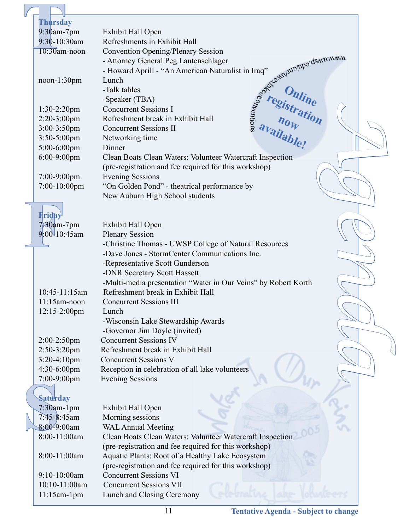| Thursday                         |                                                                                 |
|----------------------------------|---------------------------------------------------------------------------------|
| $9:30$ am-7pm                    | Exhibit Hall Open                                                               |
| $9:30 - 10:30$ am                | Refreshments in Exhibit Hall                                                    |
| $10:30$ am-noon                  | <b>Convention Opening/Plenary Session</b><br>Best Color July .                  |
|                                  | - Attorney General Peg Lautenschlager                                           |
|                                  | - Howard Aprill - "An American Naturalist in Iraq"                              |
| $noon-1:30pm$                    | Lunch                                                                           |
|                                  | -Talk tables                                                                    |
|                                  | -Speaker (TBA)                                                                  |
| $1:30-2:20$ pm                   | <b>Concurrent Sessions I</b>                                                    |
| $2:20-3:00$ pm                   | Refreshment break in Exhibit Hall                                               |
| $3:00-3:50$ pm                   | <b>Concurrent Sessions II</b>                                                   |
| 3:50-5:00pm                      | s <sup>se</sup> registration<br>now thation<br>available!<br>Networking time    |
| 5:00-6:00pm                      | Dinner                                                                          |
| 6:00-9:00pm                      | Clean Boats Clean Waters: Volunteer Watercraft Inspection                       |
|                                  | (pre-registration and fee required for this workshop)                           |
| 7:00-9:00pm                      | <b>Evening Sessions</b>                                                         |
| $7:00-10:00$ pm                  | "On Golden Pond" - theatrical performance by                                    |
|                                  | New Auburn High School students                                                 |
|                                  |                                                                                 |
| Friday                           |                                                                                 |
| $7:30$ am-7pm<br>$9:00-10:45$ am | Exhibit Hall Open                                                               |
|                                  | <b>Plenary Session</b><br>-Christine Thomas - UWSP College of Natural Resources |
|                                  | -Dave Jones - StormCenter Communications Inc.                                   |
|                                  | -Representative Scott Gunderson                                                 |
|                                  | -DNR Secretary Scott Hassett                                                    |
|                                  | -Multi-media presentation "Water in Our Veins" by Robert Korth                  |
| 10:45-11:15am                    | Refreshment break in Exhibit Hall                                               |
| $11:15$ am-noon                  | <b>Concurrent Sessions III</b>                                                  |
| $12:15 - 2:00$ pm                | Lunch                                                                           |
|                                  | -Wisconsin Lake Stewardship Awards                                              |
|                                  | -Governor Jim Doyle (invited)                                                   |
| 2:00-2:50pm                      | <b>Concurrent Sessions IV</b>                                                   |
| 2:50-3:20pm                      | Refreshment break in Exhibit Hall                                               |
| $3:20-4:10$ pm                   | <b>Concurrent Sessions V</b>                                                    |
| 4:30-6:00pm                      | Reception in celebration of all lake volunteers                                 |
| 7:00-9:00pm                      | <b>Evening Sessions</b>                                                         |
| <b>Saturday</b>                  |                                                                                 |
| 7:30am-1pm                       | Exhibit Hall Open                                                               |
| 7:45-8:45am                      | Morning sessions                                                                |
| $8:00-9:00$ am                   | <b>WAL Annual Meeting</b>                                                       |
| 8:00-11:00am                     | Clean Boats Clean Waters: Volunteer Watercraft Inspection                       |
|                                  | (pre-registration and fee required for this workshop)                           |
| 8:00-11:00am                     | Aquatic Plants: Root of a Healthy Lake Ecosystem                                |
|                                  | (pre-registration and fee required for this workshop)                           |
| 9:10-10:00am                     | <b>Concurrent Sessions VI</b>                                                   |
| 10:10-11:00am                    | <b>Concurrent Sessions VII</b>                                                  |
| $11:15$ am-1pm                   | Lunch and Closing Ceremony                                                      |
|                                  |                                                                                 |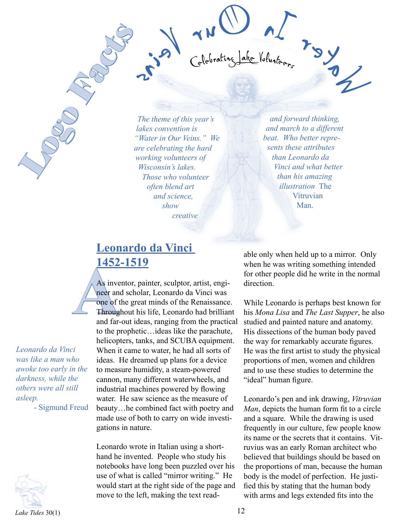*The theme of this year's lakes convention is "Water in Our Veins." We are celebrating the hard working volunteers of Wisconsin's lakes. Those who volunteer often blend art and science, show creative* 

*and forward thinking, and march to a different beat. Who better represents these attributes than Leonardo da Vinci and what better than his amazing illustration* The Vitruvian Man.

snied runder of the Manufacture of the Manufacture of the Manufacture of the Manufacture of the Manufacture of the Manufacture of the Manufacture of the Manufacture of the Manufacture of the Manufacture of the Manufacture

Celebrating Lake Volunteers

#### **Leonardo da Vinci 1452-1519**

*Leonardo da Vinci was like a man who awoke too early in the darkness, while the others were all still asleep.*

- Sigmund Freud

Logo Facts



A<sub>S</sub> inverse and far-<br>
A<sub>S</sub> inverse and far-<br>
Throug and far-As inventor, painter, sculptor, artist, engineer and scholar, Leonardo da Vinci was one of the great minds of the Renaissance. Throughout his life, Leonardo had brilliant and far-out ideas, ranging from the practical to the prophetic…ideas like the parachute, helicopters, tanks, and SCUBA equipment. When it came to water, he had all sorts of ideas. He dreamed up plans for a device to measure humidity, a steam-powered cannon, many different waterwheels, and industrial machines powered by flowing water. He saw science as the measure of beauty…he combined fact with poetry and made use of both to carry on wide investigations in nature.

> Leonardo wrote in Italian using a shorthand he invented. People who study his notebooks have long been puzzled over his use of what is called "mirror writing." He would start at the right side of the page and move to the left, making the text read

able only when held up to a mirror. Only when he was writing something intended for other people did he write in the normal direction.

While Leonardo is perhaps best known for his *Mona Lisa* and *The Last Supper*, he also studied and painted nature and anatomy. His dissections of the human body paved the way for remarkably accurate figures. He was the first artist to study the physical proportions of men, women and children and to use these studies to determine the "ideal" human figure.

Leonardo's pen and ink drawing, *Vitruvian Man*, depicts the human form fit to a circle and a square. While the drawing is used frequently in our culture, few people know its name or the secrets that it contains. Vitruvius was an early Roman architect who believed that buildings should be based on the proportions of man, because the human body is the model of perfection. He justified this by stating that the human body with arms and legs extended fits into the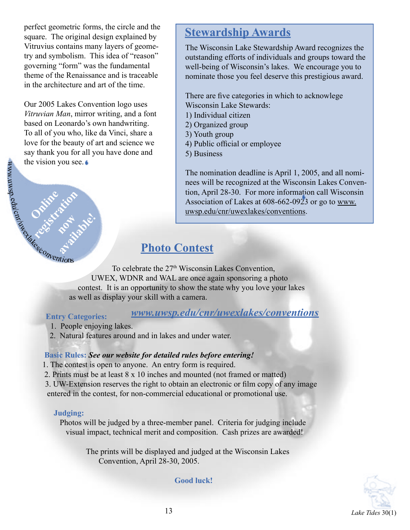perfect geometric forms, the circle and the square. The original design explained by Vitruvius contains many layers of geometry and symbolism. This idea of "reason" governing "form" was the fundamental theme of the Renaissance and is traceable in the architecture and art of the time.

Our 2005 Lakes Convention logo uses *Vitruvian Man*, mirror writing, and a font based on Leonardo's own handwriting. To all of you who, like da Vinci, share a love for the beauty of art and science we say thank you for all you have done and the vision you see.

## **Stewardship Awards**

The Wisconsin Lake Stewardship Award recognizes the outstanding efforts of individuals and groups toward the well-being of Wisconsin's lakes. We encourage you to nominate those you feel deserve this prestigious award.

There are five categories in which to acknowlege Wisconsin Lake Stewards:

- 1) Individual citizen
- 2) Organized group
- 3) Youth group
- 4) Public official or employee
- 5) Business

The nomination deadline is April 1, 2005, and all nominees will be recognized at the Wisconsin Lakes Convention, April 28-30. For more information call Wisconsin Association of Lakes at 608-662-0923 or go to www. uwsp.edu/cnr/uwexlakes/conventions.

## **Photo Contest**

To celebrate the 27<sup>th</sup> Wisconsin Lakes Convention, UWEX, WDNR and WAL are once again sponsoring a photo contest. It is an opportunity to show the state why you love your lakes as well as display your skill with a camera.

#### **Entry Categories:**

**Online idea**<br>Constration

#### *www.uwsp.edu/cnr/uwexlakes/conventions*

- 1. People enjoying lakes.
- 2. Natural features around and in lakes and under water.

#### **Basic Rules:** *See our website for detailed rules before entering!*

- 1. The contest is open to anyone. An entry form is required.
- 2. Prints must be at least 8 x 10 inches and mounted (not framed or matted)
- 3. UW-Extension reserves the right to obtain an electronic or film copy of any image entered in the contest, for non-commercial educational or promotional use.

#### **Judging:**

Photos will be judged by a three-member panel. Criteria for judging include visual impact, technical merit and composition. Cash prizes are awarded!

> The prints will be displayed and judged at the Wisconsin Lakes Convention, April 28-30, 2005.

> > **Good luck!**



**MWW**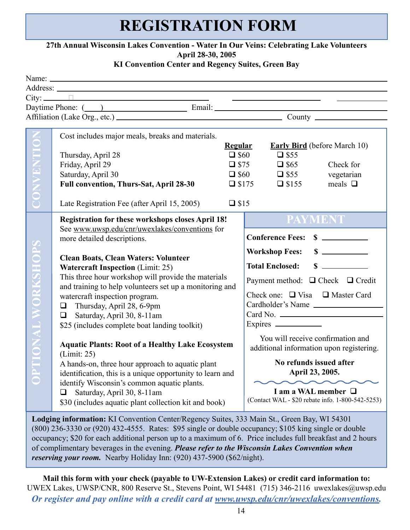# **REGISTRATION FORM**

#### **27th Annual Wisconsin Lakes Convention - Water In Our Veins: Celebrating Lake Volunteers April 28-30, 2005**

#### **KI Convention Center and Regency Suites, Green Bay**

|                                   | City: <u>The City:</u> The City: The City: The City: The City: The City: The City: The City: The City: The City: The City: The City: The City: The City: The City: The City: The City: The City: The City: The City: The City: The                                                                                                                                                                                                                                                                                                                                                                                                                                                                                                                                                                                                                                  |  |                                                                                                                                                                                                                                                                                                                                                                                                                                             |                                                                                       |                                                                                   |  |  |  |
|-----------------------------------|---------------------------------------------------------------------------------------------------------------------------------------------------------------------------------------------------------------------------------------------------------------------------------------------------------------------------------------------------------------------------------------------------------------------------------------------------------------------------------------------------------------------------------------------------------------------------------------------------------------------------------------------------------------------------------------------------------------------------------------------------------------------------------------------------------------------------------------------------------------------|--|---------------------------------------------------------------------------------------------------------------------------------------------------------------------------------------------------------------------------------------------------------------------------------------------------------------------------------------------------------------------------------------------------------------------------------------------|---------------------------------------------------------------------------------------|-----------------------------------------------------------------------------------|--|--|--|
|                                   | Affiliation (Lake Org., etc.) County                                                                                                                                                                                                                                                                                                                                                                                                                                                                                                                                                                                                                                                                                                                                                                                                                                |  |                                                                                                                                                                                                                                                                                                                                                                                                                                             |                                                                                       |                                                                                   |  |  |  |
| CONVENTION                        | Cost includes major meals, breaks and materials.<br>Thursday, April 28<br>Friday, April 29<br>Saturday, April 30<br><b>Full convention, Thurs-Sat, April 28-30</b>                                                                                                                                                                                                                                                                                                                                                                                                                                                                                                                                                                                                                                                                                                  |  | <b>Regular</b><br>$\square$ \$60<br>$\Box$ \$75                                                                                                                                                                                                                                                                                                                                                                                             | $\square$ \$55<br>$\Box$ \$65<br>$\Box$ \$60 $\Box$ \$55<br>$\Box$ \$175 $\Box$ \$155 | <b>Early Bird</b> (before March 10)<br>Check for<br>vegetarian<br>meals $\square$ |  |  |  |
|                                   | Late Registration Fee (after April 15, 2005)<br>$\square$ \$15                                                                                                                                                                                                                                                                                                                                                                                                                                                                                                                                                                                                                                                                                                                                                                                                      |  |                                                                                                                                                                                                                                                                                                                                                                                                                                             |                                                                                       |                                                                                   |  |  |  |
| TIONAL WORKSHOP<br>$\overline{C}$ | <b>Registration for these workshops closes April 18!</b><br>See www.uwsp.edu/cnr/uwexlakes/conventions for<br>more detailed descriptions.<br><b>Clean Boats, Clean Waters: Volunteer</b><br><b>Watercraft Inspection (Limit: 25)</b><br>This three hour workshop will provide the materials<br>and training to help volunteers set up a monitoring and<br>watercraft inspection program.<br>Thursday, April 28, 6-9pm<br>$\Box$<br>Saturday, April 30, 8-11am<br>$\Box$<br>\$25 (includes complete boat landing toolkit)<br><b>Aquatic Plants: Root of a Healthy Lake Ecosystem</b><br>(Limit: 25)<br>A hands-on, three hour approach to aquatic plant<br>identification, this is a unique opportunity to learn and<br>identify Wisconsin's common aquatic plants.<br>Saturday, April 30, 8-11am<br>$\Box$<br>\$30 (includes aquatic plant collection kit and book) |  | <b>PAYMENT</b><br>Conference Fees: \$<br>$\sim$<br><b>Workshop Fees:</b><br>$\sim$<br><b>Total Enclosed:</b><br>Payment method: $\Box$ Check $\Box$ Credit<br>Check one: $\Box$ Visa $\Box$ Master Card<br>Cardholder's Name<br>You will receive confirmation and<br>additional information upon registering.<br>No refunds issued after<br>April 23, 2005.<br>I am a WAL member $\Box$<br>(Contact WAL - \$20 rebate info. 1-800-542-5253) |                                                                                       |                                                                                   |  |  |  |
|                                   | <b>Lodging information:</b> KI Convention Center/Regency Suites 333 Main St Green Bay WI 54301                                                                                                                                                                                                                                                                                                                                                                                                                                                                                                                                                                                                                                                                                                                                                                      |  |                                                                                                                                                                                                                                                                                                                                                                                                                                             |                                                                                       |                                                                                   |  |  |  |

**Lodging information:** KI Convention Center/Regency Suites, 333 Main St., Green Bay, WI 54301 (800) 236-3330 or (920) 432-4555. Rates: \$95 single or double occupancy; \$105 king single or double occupancy; \$20 for each additional person up to a maximum of 6. Price includes full breakfast and 2 hours of complimentary beverages in the evening. *Please refer to the Wisconsin Lakes Convention when reserving your room.* Nearby Holiday Inn: (920) 437-5900 (\$62/night).

**Mail this form with your check (payable to UW-Extension Lakes) or credit card information to:** UWEX Lakes, UWSP/CNR, 800 Reserve St., Stevens Point, WI 54481 (715) 346-2116 uwexlakes@uwsp.edu *Or register and pay online with a credit card at www.uwsp.edu/cnr/uwexlakes/conventions.*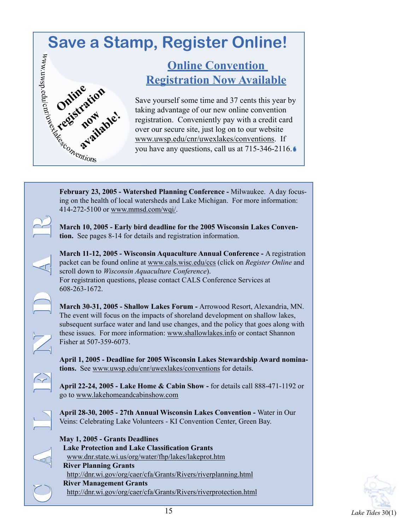# **Save a Stamp, Register Online!**

## **Online Convention Registration Now Available**

Save yourself some time and 37 cents this year by taking advantage of our new online convention registration. Conveniently pay with a credit card over our secure site, just log on to our website www.uwsp.edu/cnr/uwexlakes/conventions. If you have any questions, call us at 715-346-2116.

**February 23, 2005 - Watershed Planning Conference -** Milwaukee. A day focusing on the health of local watersheds and Lake Michigan. For more information: 414-272-5100 or www.mmsd.com/wqi/.

**March 10, 2005 - Early bird deadline for the 2005 Wisconsin Lakes Convention.** See pages 8-14 for details and registration information.

**March 11-12, 2005 - Wisconsin Aquaculture Annual Conference -** A registration packet can be found online at www.cals.wisc.edu/ccs (click on *Register Online* and scroll down to *Wisconsin Aquaculture Conference*). For registration questions, please contact CALS Conference Services at 608-263-1672.

**March 30-31, 2005 - Shallow Lakes Forum -** Arrowood Resort, Alexandria, MN. The event will focus on the impacts of shoreland development on shallow lakes, subsequent surface water and land use changes, and the policy that goes along with these issues. For more information: www.shallowlakes.info or contact Shannon Fisher at 507-359-6073.

**April 1, 2005 - Deadline for 2005 Wisconsin Lakes Stewardship Award nominations.** See www.uwsp.edu/cnr/uwexlakes/conventions for details.

**April 22-24, 2005 - Lake Home & Cabin Show -** for details call 888-471-1192 or go to www.lakehomeandcabinshow.com

**April 28-30, 2005 - 27th Annual Wisconsin Lakes Convention -** Water in Our Veins: Celebrating Lake Volunteers - KI Convention Center, Green Bay.

**May 1, 2005 - Grants Deadlines Lake Protection and Lake Classification Grants** www.dnr.state.wi.us/org/water/fhp/lakes/lakeprot.htm **River Planning Grants** http://dnr.wi.gov/org/caer/cfa/Grants/Rivers/riverplanning.html **River Management Grants** http://dnr.wi.gov/org/caer/cfa/Grants/Rivers/riverprotection.html

C A L E N N D A R

n wwn

Western Conventions

Online <sub>right</sub><br> **Cegs transleight**<br>
Fig. available.